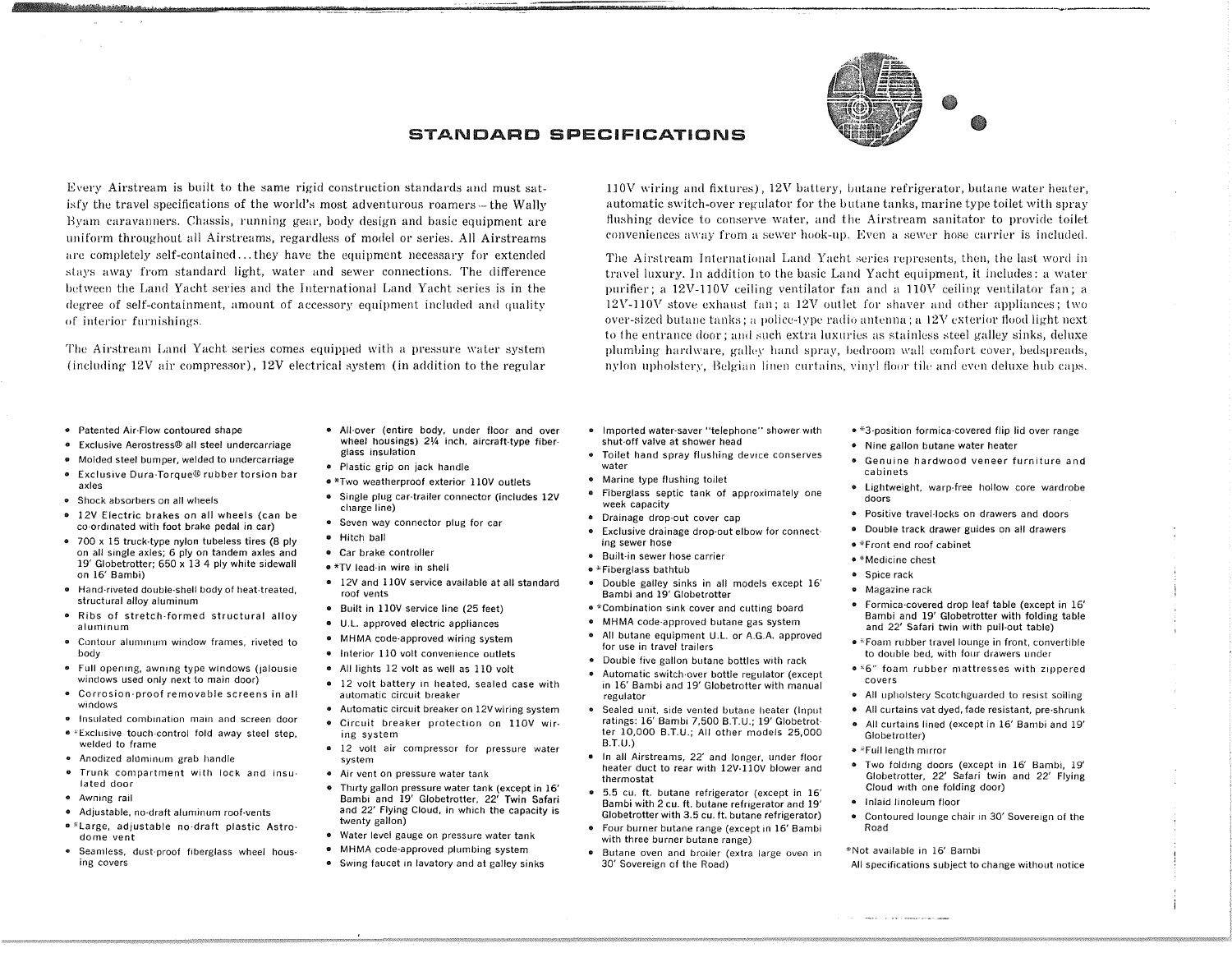

llOV wiring and fixtures), 12V battery, butane refrigerator, butane water heater, automatic switch-over regulator for the butane tanks, marine type toilet with spray flushing device to conserve water, and the Airstream sanitator to provide toilet conveniences away from a sewer hook-up. Even a sewer hose carrier is included. The Airstream International Land Yacht series represents, then, the last word in travel luxury. In addition to the basic Land Yacht equipment, it includes: a water pnrifier; a 12V-IIOV ceiling ventilator fan and a IIOV ceiling ventilator fan; a  $12V-110V$  stove exhaust fan; a  $12V$  outlet for shaver and other appliances; two over-sized butane tanks; a police-type radio antenna; a l2V exterior Hood light next to 1he entrance door; and such extra luxnries as stainless steel galley sinks, deluxe plumbing hardware, galley hand spray, bedroom wall comfort cover, bedspreads, nylon upholstery, Belgian linen curtains, vinyl floor tile and even deluxe hub caps.

## STANDARD **SPECIFICATIONS**

Every Airstream is built to the same rigid construction standards and must satisfy the travel specifications of the world's most adventurous roamers  $-$  the Wally Bymn caravanners. Chassis, running gear, body design and basic equipment are uniform throughout all Airstreams, regardless of model or series. All Airstreams are completely self-contained ... they have the equipment necessary for extended stays away from standard light, water and sewer connections. The difference between the Land Yacht series and the International Land Yacht series is in the degree of self-containment, amount of accessory eqnipment included and quality of interior furnishings.

The Airstream Land Yacht series comes equipped with a pressure water system (including 12V air compressor), 12V electrical system (in addition to the regular

• Patented Air·Flow contoured shape

!tractat://tractation.gr.........

- Exclusive Aerostress® all steel undercarriage
- Molded steel bumper, welded to undercarriage
- Exclusive Dura-Torque® rubber torsion bar axles
- Shock absorbers on all wheels
- 12V Electric brakes on all wheels (can be co-ordinated with foot brake pedal in car)
- 700 x 15 truck-type nylon tubeless tires (8 ply on all single axles; 6 ply on tandem axles and 19' Globetrotter; 650 x 13 4 ply white sidewall on 16' 8ambi)
- Hand'rlveted double·shell body of heat·treated, structural alloy aluminum
- Ribs of stretch·formed structural alloy **aluminum**
- **• Contour alullllnum window frames, riveted to** body
- Full opening, awning type windows (jalousie windows used only next to main door)
- **• Corrosion-proof removable screens in all windows**
- **• Insulated combination main and screen door**
- '·Exclusive touch-control fold away steel step, welded to frame
- **• Anodized ah.1minum grab handle**
- **o Trunk compartment with lock and insu·** lated door
- **• Awning rail**
- Adjustable, no-draft aluminum roof-vents
- \*Large, adjustable no·draft plastic Astra· dome vent
- 
- Seamless, dust-proof fiberglass wheel hous· **ing covers**
- All-over (entire body, under floor and over wheel housings)  $2\frac{1}{4}$  inch, aircraft-type fiberglass insulation
- Plastic grip on jack handle
- \*Two weatherproof exterior 1l0V outlets
- Single plug car-trailer connector (includes 12V charge line)
- **• Seven way connector plug for car**
- Hitch ball
- Car brake controller
- \*TV lead·in wire in shell
	- 12V and 110V service available at all standard roof vents
	- Built in 1l0V service line (25 feet)
	- U.L. approved electric appliances
	- MHMA code-approved wiring system
	- Interior 110 volt convenience outlets
	- All lights 12 volt as well as 110 volt
	- 12 volt battery in heated, sealed case with **automatic circuit breaker**
- Automatic circuit breaker on 12Vwiring system
- Circuit breaker protection on 1l0V wir· **ing system**
- **• 12 volt air compressor for pressure water** system
- **• Air vent on pressure water tank**
- Thirty gallon pressure water tank (except in 16' Bambi and 19' Globetrotter, 22' Twin Safari and 22' Flying Cloud, in which the capacity is twenty gallon)
- Water level gauge on pressure water tank
- MHMA code-approved plumbing system
- Swing faucet in lavatory and at galley sinks
- Imported water-saver "telephone" shower With shut·off valve at shower head
- Toilet hand spray flushing device conserves **water**
- Marine type flushing toilet
- Fiberglass septic tank of approximately one week capacity
	- Drainage drop-out cover cap
	- Exclusive drainage drop-out elbow for connect**ing sewer hose**
	- **• Built·in sewer hose carrier**
	- "Fiberglass bathtub
	- Double galley sinks in all models except 16' Bambi and 19' Globetrotter
		- \*Combination sink cover and cutting board
		- MHMA code-approved butane gas system
- All butane equipment U.L. or A.G.A. approved for use in travel trailers
	- Double five gallon butane bottles with rack
		- Automatic switch·over bottle regulator (except in 16' Bambi and 19' Globetrotter with manual regulator
		- Sealed umt. side vented butane heater (Input ratings: 16' Bambi 7,500 B.T.U.; 19' Globetrotter 10,000 B.T.U.; All other models 25,000  $B.T.U.$
		- In all Airstreams. 22' and longer. under floor heater duct to rear With 12V·110V blower and thermostat
		- 5.5 ClI. ft. butane refrigerator (except in 16' Bambi with 2 cu. ft. butane refrigerator and 19' Globetrotter with 3.5 cu. ft. butane refrigerator)
		- Four burner butane range (except in 16' Bambi with three burner butane range)
		- **• Butane oven and broiler (extra large oven in** 30' Sovereign of the Road)
- \*3-position formica-covered flip lid over range
- Nine gallon butane water heater
- **• Genuine hardwood veneer furniture and** cabinets
- Lightweight, warp-free hollow core wardrobe doors
- Positive travel·locks on drawers and doors
- Double track drawer guides on all drawers
- \*Front end roof cabinet
- **• \*Medicine chest**
- Spice rack
- **• Magazine rack**
- Formica·covered drop leaf table (except in 16' Bambi and 19' Globetrotter with folding table and 22' Safari twin with pull-out table)
- "Foam rubber travel lounge in front, convertihle to double bed, with four drawers under
- '6" foam rubber mattresses with zippered **covers**
- All upholstery Scotchguarded to resist soiling
- All curtains vat dyed, fade resistant, pre·shrunk
- All curtains lined (except in 16' Bambi and 19' Globetrotter)
- "Full length mirror
- Two folding doors (except in 16' Bambi, 19' Globetrotter, 22' Safari twin and 22' Flying Cloud With one folding door)
- Inlaid linoleum floor
- Contoured lounge chair in 30' Sovereign of the Road

"-Not available in 16' Bambi

 $\label{eq:1} \mathcal{L}(\mathbf{r},\mathbf{r},\mathbf{r}) = \mathcal{L}(\mathbf{r},\mathbf{r}) + \mathcal{L}(\mathbf{r},\mathbf{r},\mathbf{r}) + \mathcal{L}(\mathbf{r},\mathbf{r},\mathbf{r},\mathbf{r})$ 

All specifications SUbject to change without notice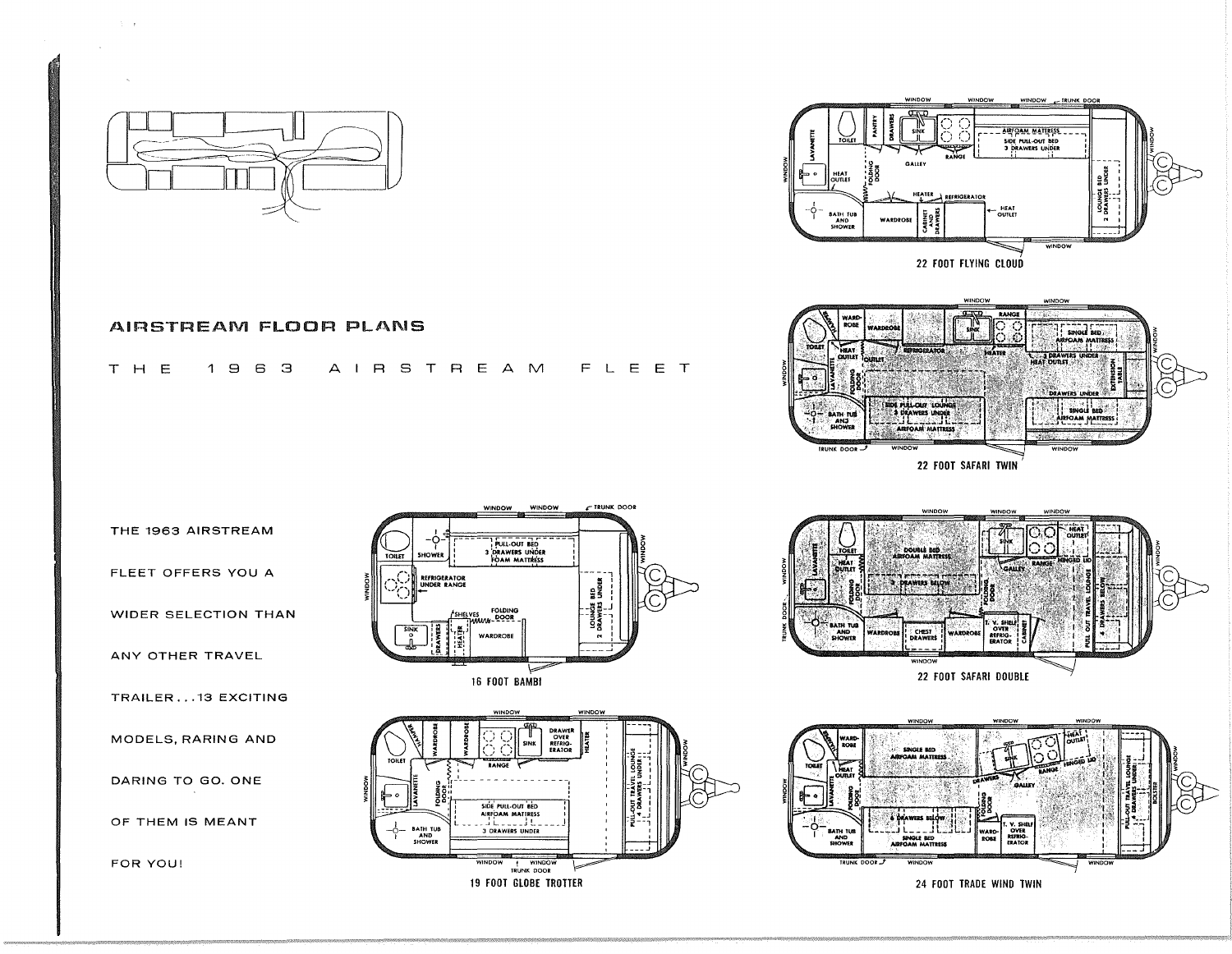

## AIRSTREAM FLOOR PLANS

## AIRSTREAM FLEET T H E  $1963$

RANGE **WARE**<br>ROBE **SINGLE BED DAN MATTEE HEAT**<br>DUTLET DE PULLOIST LOUNE **SINGLE BED** BATH TU FOAM MATTRE **ANJ** AN MATTRESS TRUNK DOOR -22 FOOT SAFARI TWIN

GALLEY

**WARDROBE** 

HEATER REFRIGERATOR

22 FOOT FLYING CLOUD

**WINDOW** 

CABNET<br>AND<br>DRAWER

HEAT<br>UTLET

BATH TUB<br>AND<br>SHOWER

THE 1963 AIRSTREAM

FLEET OFFERS YOU A

WIDER SELECTION THAN

ANY OTHER TRAVEL

TRAILER...13 EXCITING

MODELS, RARING AND

DARING TO GO. ONE

OF THEM IS MEANT

FOR YOU!







**IRUNK DOOR** 

ARPOAM MATIRESS. SIDE PULL-OUT BED<br>3 DRAWERS UNDER

WINDOW

HEAT<br>OUTLET